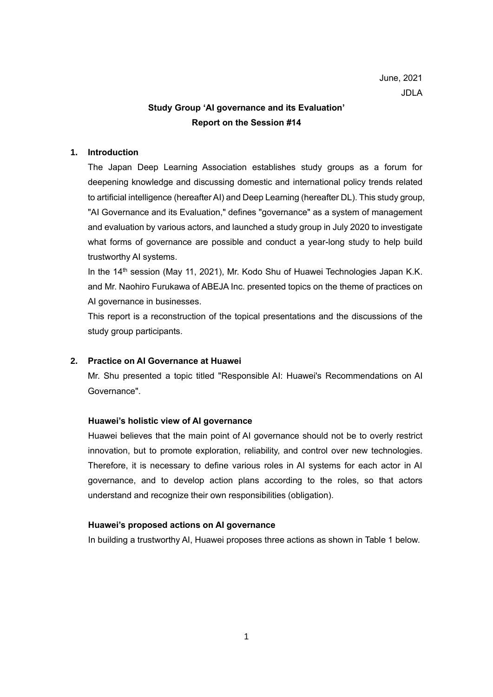# **Study Group 'AI governance and its Evaluation' Report on the Session #14**

# **1. Introduction**

The Japan Deep Learning Association establishes study groups as a forum for deepening knowledge and discussing domestic and international policy trends related to artificial intelligence (hereafter AI) and Deep Learning (hereafter DL). This study group, "AI Governance and its Evaluation," defines "governance" as a system of management and evaluation by various actors, and launched a study group in July 2020 to investigate what forms of governance are possible and conduct a year-long study to help build trustworthy AI systems.

In the 14<sup>th</sup> session (May 11, 2021), Mr. Kodo Shu of Huawei Technologies Japan K.K. and Mr. Naohiro Furukawa of ABEJA Inc. presented topics on the theme of practices on AI governance in businesses.

This report is a reconstruction of the topical presentations and the discussions of the study group participants.

## **2. Practice on AI Governance at Huawei**

Mr. Shu presented a topic titled "Responsible AI: Huawei's Recommendations on AI Governance".

## **Huawei's holistic view of AI governance**

Huawei believes that the main point of AI governance should not be to overly restrict innovation, but to promote exploration, reliability, and control over new technologies. Therefore, it is necessary to define various roles in AI systems for each actor in AI governance, and to develop action plans according to the roles, so that actors understand and recognize their own responsibilities (obligation).

## **Huawei's proposed actions on AI governance**

In building a trustworthy AI, Huawei proposes three actions as shown in Table 1 below.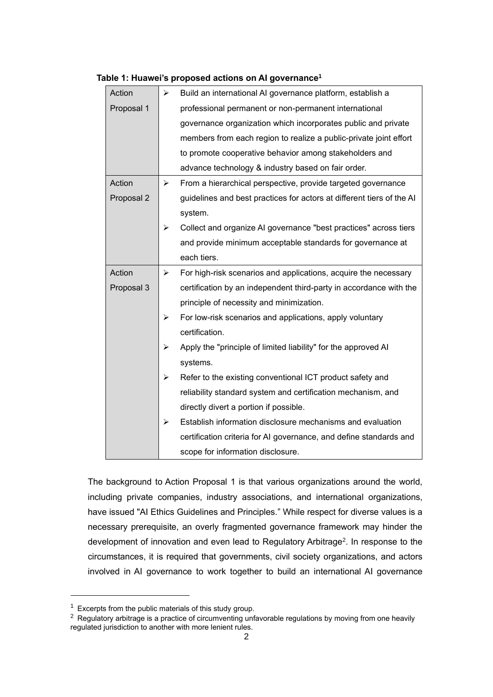| $\blacktriangleright$ | Build an international AI governance platform, establish a            |
|-----------------------|-----------------------------------------------------------------------|
|                       | professional permanent or non-permanent international                 |
|                       | governance organization which incorporates public and private         |
|                       | members from each region to realize a public-private joint effort     |
|                       | to promote cooperative behavior among stakeholders and                |
|                       | advance technology & industry based on fair order.                    |
| ≻                     | From a hierarchical perspective, provide targeted governance          |
|                       | guidelines and best practices for actors at different tiers of the AI |
|                       | system.                                                               |
| ➤                     | Collect and organize AI governance "best practices" across tiers      |
|                       | and provide minimum acceptable standards for governance at            |
|                       | each tiers.                                                           |
| ➤                     | For high-risk scenarios and applications, acquire the necessary       |
|                       | certification by an independent third-party in accordance with the    |
|                       | principle of necessity and minimization.                              |
| ➤                     | For low-risk scenarios and applications, apply voluntary              |
|                       | certification.                                                        |
| ➤                     | Apply the "principle of limited liability" for the approved AI        |
|                       | systems.                                                              |
| ➤                     | Refer to the existing conventional ICT product safety and             |
|                       | reliability standard system and certification mechanism, and          |
|                       | directly divert a portion if possible.                                |
| ➤                     | Establish information disclosure mechanisms and evaluation            |
|                       | certification criteria for AI governance, and define standards and    |
|                       | scope for information disclosure.                                     |
|                       |                                                                       |

### **Table 1: Huawei's proposed actions on AI governance<sup>1</sup>**

The background to Action Proposal 1 is that various organizations around the world, including private companies, industry associations, and international organizations, have issued "AI Ethics Guidelines and Principles." While respect for diverse values is a necessary prerequisite, an overly fragmented governance framework may hinder the development of innovation and even lead to Regulatory Arbitrage<sup>2</sup>. In response to the circumstances, it is required that governments, civil society organizations, and actors involved in AI governance to work together to build an international AI governance

 $1$  Excerpts from the public materials of this study group.

<sup>&</sup>lt;sup>2</sup> Regulatory arbitrage is a practice of circumventing unfavorable regulations by moving from one heavily regulated jurisdiction to another with more lenient rules.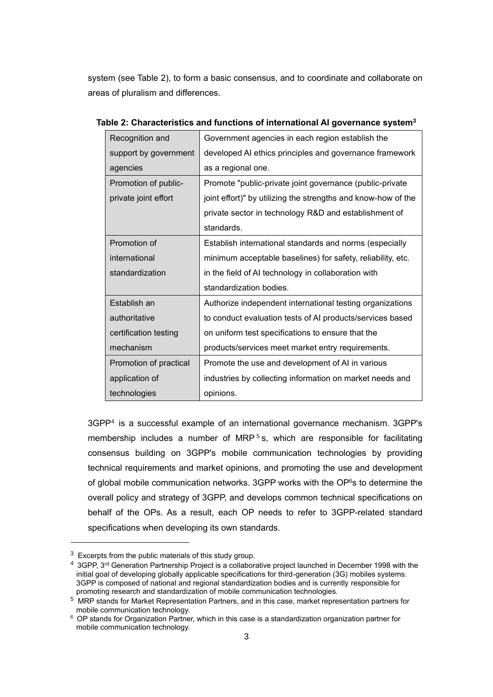system (see Table 2), to form a basic consensus, and to coordinate and collaborate on areas of pluralism and differences.

| Recognition and        | Government agencies in each region establish the              |
|------------------------|---------------------------------------------------------------|
| support by government  | developed AI ethics principles and governance framework       |
| agencies               | as a regional one.                                            |
| Promotion of public-   | Promote "public-private joint governance (public-private      |
| private joint effort   | joint effort)" by utilizing the strengths and know-how of the |
|                        | private sector in technology R&D and establishment of         |
|                        | standards.                                                    |
| Promotion of           | Establish international standards and norms (especially       |
| international          | minimum acceptable baselines) for safety, reliability, etc.   |
| standardization        | in the field of AI technology in collaboration with           |
|                        | standardization bodies.                                       |
| Establish an           | Authorize independent international testing organizations     |
| authoritative          | to conduct evaluation tests of AI products/services based     |
| certification testing  | on uniform test specifications to ensure that the             |
| mechanism              | products/services meet market entry requirements.             |
| Promotion of practical | Promote the use and development of AI in various              |
| application of         | industries by collecting information on market needs and      |
| technologies           | opinions.                                                     |

| Table 2: Characteristics and functions of international AI governance system <sup>3</sup> |  |  |  |
|-------------------------------------------------------------------------------------------|--|--|--|
|-------------------------------------------------------------------------------------------|--|--|--|

3GPP<sup>4</sup> is a successful example of an international governance mechanism. 3GPP's membership includes a number of MRP<sup>5</sup>s, which are responsible for facilitating consensus building on 3GPP's mobile communication technologies by providing technical requirements and market opinions, and promoting the use and development of global mobile communication networks. 3GPP works with the OP<sup>6</sup>s to determine the overall policy and strategy of 3GPP, and develops common technical specifications on behalf of the OPs. As a result, each OP needs to refer to 3GPP-related standard specifications when developing its own standards.

 $3$  Excerpts from the public materials of this study group.

<sup>4</sup> 3GPP, 3rd Generation Partnership Project is a collaborative project launched in December 1998 with the initial goal of developing globally applicable specifications for third-generation (3G) mobiles systems. 3GPP is composed of national and regional standardization bodies and is currently responsible for promoting research and standardization of mobile communication technologies.

 $5\,$  MRP stands for Market Representation Partners, and in this case, market representation partners for mobile communication technology.

<sup>6</sup> OP stands for Organization Partner, which in this case is a standardization organization partner for mobile communication technology.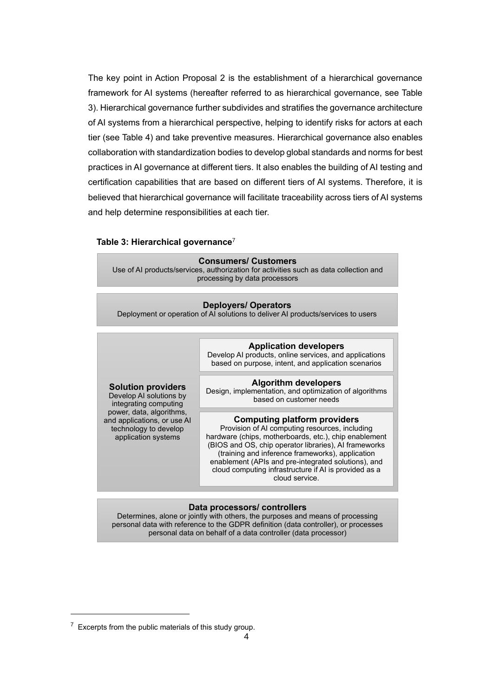The key point in Action Proposal 2 is the establishment of a hierarchical governance framework for AI systems (hereafter referred to as hierarchical governance, see Table 3). Hierarchical governance further subdivides and stratifies the governance architecture of AI systems from a hierarchical perspective, helping to identify risks for actors at each tier (see Table 4) and take preventive measures. Hierarchical governance also enables collaboration with standardization bodies to develop global standards and norms for best practices in AI governance at different tiers. It also enables the building of AI testing and certification capabilities that are based on different tiers of AI systems. Therefore, it is believed that hierarchical governance will facilitate traceability across tiers of AI systems and help determine responsibilities at each tier.

# **Table 3: Hierarchical governance**<sup>7</sup>

| <b>Consumers/ Customers</b>                                                           |  |  |  |
|---------------------------------------------------------------------------------------|--|--|--|
| Use of AI products/services, authorization for activities such as data collection and |  |  |  |
| processing by data processors                                                         |  |  |  |
|                                                                                       |  |  |  |

| <b>Deployers/ Operators</b><br>Deployment or operation of AI solutions to deliver AI products/services to users |                                                                                                                                                                                                                                                                                                                                                                                               |  |  |  |  |
|-----------------------------------------------------------------------------------------------------------------|-----------------------------------------------------------------------------------------------------------------------------------------------------------------------------------------------------------------------------------------------------------------------------------------------------------------------------------------------------------------------------------------------|--|--|--|--|
|                                                                                                                 |                                                                                                                                                                                                                                                                                                                                                                                               |  |  |  |  |
|                                                                                                                 | <b>Application developers</b><br>Develop AI products, online services, and applications<br>based on purpose, intent, and application scenarios                                                                                                                                                                                                                                                |  |  |  |  |
| <b>Solution providers</b><br>Develop AI solutions by<br>integrating computing                                   | <b>Algorithm developers</b><br>Design, implementation, and optimization of algorithms<br>based on customer needs                                                                                                                                                                                                                                                                              |  |  |  |  |
| power, data, algorithms,<br>and applications, or use AI<br>technology to develop<br>application systems         | <b>Computing platform providers</b><br>Provision of AI computing resources, including<br>hardware (chips, motherboards, etc.), chip enablement<br>(BIOS and OS, chip operator libraries), AI frameworks<br>(training and inference frameworks), application<br>enablement (APIs and pre-integrated solutions), and<br>cloud computing infrastructure if AI is provided as a<br>cloud service. |  |  |  |  |

### **Data processors/ controllers**

Determines, alone or jointly with others, the purposes and means of processing personal data with reference to the GDPR definition (data controller), or processes personal data on behalf of a data controller (data processor)

 $7$  Excerpts from the public materials of this study group.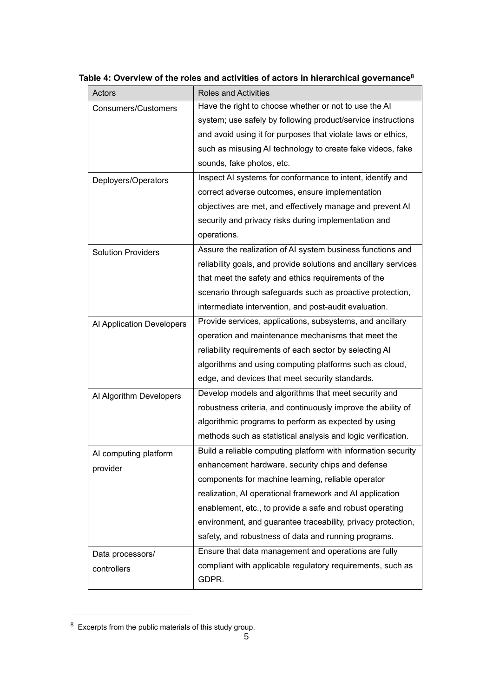| Actors                     | <b>Roles and Activities</b>                                     |
|----------------------------|-----------------------------------------------------------------|
| <b>Consumers/Customers</b> | Have the right to choose whether or not to use the AI           |
|                            | system; use safely by following product/service instructions    |
|                            | and avoid using it for purposes that violate laws or ethics,    |
|                            | such as misusing AI technology to create fake videos, fake      |
|                            | sounds, fake photos, etc.                                       |
| Deployers/Operators        | Inspect AI systems for conformance to intent, identify and      |
|                            | correct adverse outcomes, ensure implementation                 |
|                            | objectives are met, and effectively manage and prevent AI       |
|                            | security and privacy risks during implementation and            |
|                            | operations.                                                     |
| <b>Solution Providers</b>  | Assure the realization of AI system business functions and      |
|                            | reliability goals, and provide solutions and ancillary services |
|                            | that meet the safety and ethics requirements of the             |
|                            | scenario through safeguards such as proactive protection,       |
|                            | intermediate intervention, and post-audit evaluation.           |
| Al Application Developers  | Provide services, applications, subsystems, and ancillary       |
|                            | operation and maintenance mechanisms that meet the              |
|                            | reliability requirements of each sector by selecting AI         |
|                            | algorithms and using computing platforms such as cloud,         |
|                            | edge, and devices that meet security standards.                 |
| Al Algorithm Developers    | Develop models and algorithms that meet security and            |
|                            | robustness criteria, and continuously improve the ability of    |
|                            | algorithmic programs to perform as expected by using            |
|                            | methods such as statistical analysis and logic verification.    |
| AI computing platform      | Build a reliable computing platform with information security   |
| provider                   | enhancement hardware, security chips and defense                |
|                            | components for machine learning, reliable operator              |
|                            | realization, AI operational framework and AI application        |
|                            | enablement, etc., to provide a safe and robust operating        |
|                            | environment, and guarantee traceability, privacy protection,    |
|                            | safety, and robustness of data and running programs.            |
| Data processors/           | Ensure that data management and operations are fully            |
| controllers                | compliant with applicable regulatory requirements, such as      |
|                            | GDPR.                                                           |

# **Table 4: Overview of the roles and activities of actors in hierarchical governance<sup>8</sup>**

<sup>8</sup> Excerpts from the public materials of this study group.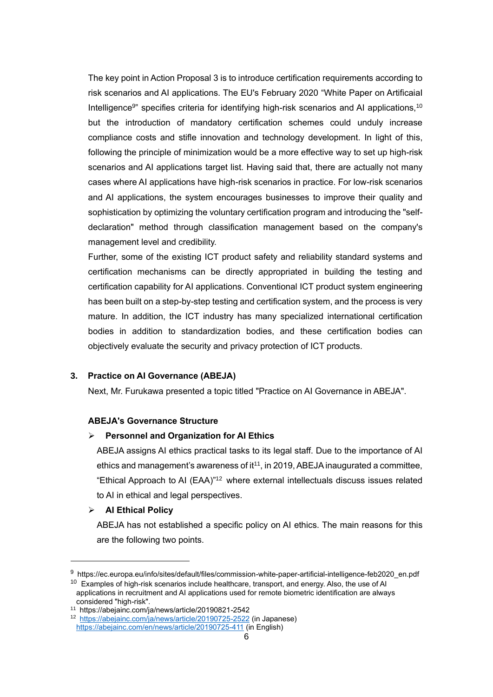The key point in Action Proposal 3 is to introduce certification requirements according to risk scenarios and AI applications. The EU's February 2020 "White Paper on ArtificaiaI Intelligence<sup>9</sup>" specifies criteria for identifying high-risk scenarios and AI applications,<sup>10</sup> but the introduction of mandatory certification schemes could unduly increase compliance costs and stifle innovation and technology development. In light of this, following the principle of minimization would be a more effective way to set up high-risk scenarios and AI applications target list. Having said that, there are actually not many cases where AI applications have high-risk scenarios in practice. For low-risk scenarios and AI applications, the system encourages businesses to improve their quality and sophistication by optimizing the voluntary certification program and introducing the "selfdeclaration" method through classification management based on the company's management level and credibility.

Further, some of the existing ICT product safety and reliability standard systems and certification mechanisms can be directly appropriated in building the testing and certification capability for AI applications. Conventional ICT product system engineering has been built on a step-by-step testing and certification system, and the process is very mature. In addition, the ICT industry has many specialized international certification bodies in addition to standardization bodies, and these certification bodies can objectively evaluate the security and privacy protection of ICT products.

### **3. Practice on AI Governance (ABEJA)**

Next, Mr. Furukawa presented a topic titled "Practice on AI Governance in ABEJA".

### **ABEJA's Governance Structure**

### ➢ **Personnel and Organization for AI Ethics**

ABEJA assigns AI ethics practical tasks to its legal staff. Due to the importance of AI ethics and management's awareness of  $it<sup>11</sup>$ , in 2019, ABEJA inaugurated a committee, "Ethical Approach to AI (EAA)" <sup>12</sup> where external intellectuals discuss issues related to AI in ethical and legal perspectives.

### ➢ **AI Ethical Policy**

ABEJA has not established a specific policy on AI ethics. The main reasons for this are the following two points.

<sup>9</sup> https://ec.europa.eu/info/sites/default/files/commission-white-paper-artificial-intelligence-feb2020\_en.pdf  $10$  Examples of high-risk scenarios include healthcare, transport, and energy. Also, the use of AI

applications in recruitment and AI applications used for remote biometric identification are always considered "high-risk".

<sup>11</sup> https://abejainc.com/ja/news/article/20190821-2542

<sup>12</sup> <https://abejainc.com/ja/news/article/20190725-2522> (in Japanese) <https://abejainc.com/en/news/article/20190725-411> (in English)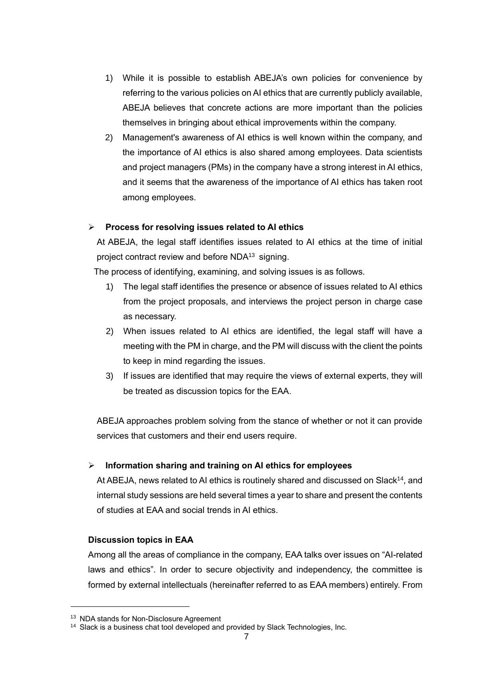- 1) While it is possible to establish ABEJA's own policies for convenience by referring to the various policies on AI ethics that are currently publicly available, ABEJA believes that concrete actions are more important than the policies themselves in bringing about ethical improvements within the company.
- 2) Management's awareness of AI ethics is well known within the company, and the importance of AI ethics is also shared among employees. Data scientists and project managers (PMs) in the company have a strong interest in AI ethics, and it seems that the awareness of the importance of AI ethics has taken root among employees.

# ➢ **Process for resolving issues related to AI ethics**

At ABEJA, the legal staff identifies issues related to AI ethics at the time of initial project contract review and before NDA<sup>13</sup> signing.

The process of identifying, examining, and solving issues is as follows.

- 1) The legal staff identifies the presence or absence of issues related to AI ethics from the project proposals, and interviews the project person in charge case as necessary.
- 2) When issues related to AI ethics are identified, the legal staff will have a meeting with the PM in charge, and the PM will discuss with the client the points to keep in mind regarding the issues.
- 3) If issues are identified that may require the views of external experts, they will be treated as discussion topics for the EAA.

ABEJA approaches problem solving from the stance of whether or not it can provide services that customers and their end users require.

# ➢ **Information sharing and training on AI ethics for employees**

At ABEJA, news related to AI ethics is routinely shared and discussed on Slack<sup>14</sup>, and internal study sessions are held several times a year to share and present the contents of studies at EAA and social trends in AI ethics.

## **Discussion topics in EAA**

Among all the areas of compliance in the company, EAA talks over issues on "AI-related laws and ethics". In order to secure objectivity and independency, the committee is formed by external intellectuals (hereinafter referred to as EAA members) entirely. From

<sup>&</sup>lt;sup>13</sup> NDA stands for Non-Disclosure Agreement

<sup>&</sup>lt;sup>14</sup> Slack is a business chat tool developed and provided by Slack Technologies, Inc.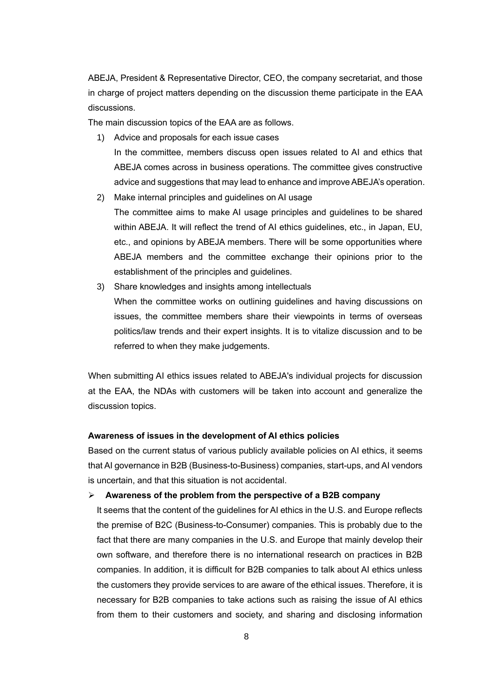ABEJA, President & Representative Director, CEO, the company secretariat, and those in charge of project matters depending on the discussion theme participate in the EAA discussions.

The main discussion topics of the EAA are as follows.

- 1) Advice and proposals for each issue cases In the committee, members discuss open issues related to AI and ethics that ABEJA comes across in business operations. The committee gives constructive advice and suggestions that may lead to enhance and improve ABEJA's operation.
- 2) Make internal principles and guidelines on AI usage The committee aims to make AI usage principles and guidelines to be shared within ABEJA. It will reflect the trend of AI ethics guidelines, etc., in Japan, EU, etc., and opinions by ABEJA members. There will be some opportunities where ABEJA members and the committee exchange their opinions prior to the establishment of the principles and guidelines.
- 3) Share knowledges and insights among intellectuals When the committee works on outlining guidelines and having discussions on issues, the committee members share their viewpoints in terms of overseas politics/law trends and their expert insights. It is to vitalize discussion and to be referred to when they make judgements.

When submitting AI ethics issues related to ABEJA's individual projects for discussion at the EAA, the NDAs with customers will be taken into account and generalize the discussion topics.

### **Awareness of issues in the development of AI ethics policies**

Based on the current status of various publicly available policies on AI ethics, it seems that AI governance in B2B (Business-to-Business) companies, start-ups, and AI vendors is uncertain, and that this situation is not accidental.

## ➢ **Awareness of the problem from the perspective of a B2B company**

It seems that the content of the guidelines for AI ethics in the U.S. and Europe reflects the premise of B2C (Business-to-Consumer) companies. This is probably due to the fact that there are many companies in the U.S. and Europe that mainly develop their own software, and therefore there is no international research on practices in B2B companies. In addition, it is difficult for B2B companies to talk about AI ethics unless the customers they provide services to are aware of the ethical issues. Therefore, it is necessary for B2B companies to take actions such as raising the issue of AI ethics from them to their customers and society, and sharing and disclosing information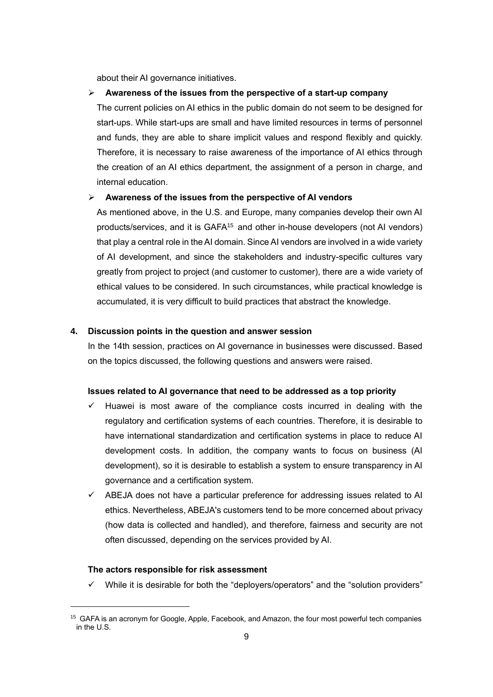about their AI governance initiatives.

#### ➢ **Awareness of the issues from the perspective of a start-up company**

The current policies on AI ethics in the public domain do not seem to be designed for start-ups. While start-ups are small and have limited resources in terms of personnel and funds, they are able to share implicit values and respond flexibly and quickly. Therefore, it is necessary to raise awareness of the importance of AI ethics through the creation of an AI ethics department, the assignment of a person in charge, and internal education.

#### ➢ **Awareness of the issues from the perspective of AI vendors**

As mentioned above, in the U.S. and Europe, many companies develop their own AI products/services, and it is GAFA<sup>15</sup> and other in-house developers (not AI vendors) that play a central role in the AI domain. Since AI vendors are involved in a wide variety of AI development, and since the stakeholders and industry-specific cultures vary greatly from project to project (and customer to customer), there are a wide variety of ethical values to be considered. In such circumstances, while practical knowledge is accumulated, it is very difficult to build practices that abstract the knowledge.

## **4. Discussion points in the question and answer session**

In the 14th session, practices on AI governance in businesses were discussed. Based on the topics discussed, the following questions and answers were raised.

### **Issues related to AI governance that need to be addressed as a top priority**

- $\checkmark$  Huawei is most aware of the compliance costs incurred in dealing with the regulatory and certification systems of each countries. Therefore, it is desirable to have international standardization and certification systems in place to reduce AI development costs. In addition, the company wants to focus on business (AI development), so it is desirable to establish a system to ensure transparency in AI governance and a certification system.
- $\checkmark$  ABEJA does not have a particular preference for addressing issues related to AI ethics. Nevertheless, ABEJA's customers tend to be more concerned about privacy (how data is collected and handled), and therefore, fairness and security are not often discussed, depending on the services provided by AI.

### **The actors responsible for risk assessment**

 $\checkmark$  While it is desirable for both the "deployers/operators" and the "solution providers"

<sup>&</sup>lt;sup>15</sup> GAFA is an acronym for Google, Apple, Facebook, and Amazon, the four most powerful tech companies in the U.S.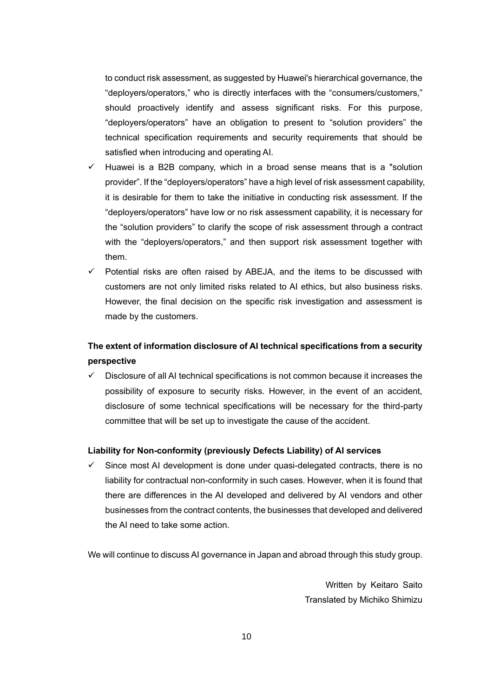to conduct risk assessment, as suggested by Huawei's hierarchical governance, the "deployers/operators," who is directly interfaces with the "consumers/customers," should proactively identify and assess significant risks. For this purpose, "deployers/operators" have an obligation to present to "solution providers" the technical specification requirements and security requirements that should be satisfied when introducing and operating AI.

- Huawei is a B2B company, which in a broad sense means that is a "solution provider". If the "deployers/operators" have a high level of risk assessment capability, it is desirable for them to take the initiative in conducting risk assessment. If the "deployers/operators" have low or no risk assessment capability, it is necessary for the "solution providers" to clarify the scope of risk assessment through a contract with the "deployers/operators," and then support risk assessment together with them.
- $\checkmark$  Potential risks are often raised by ABEJA, and the items to be discussed with customers are not only limited risks related to AI ethics, but also business risks. However, the final decision on the specific risk investigation and assessment is made by the customers.

# **The extent of information disclosure of AI technical specifications from a security perspective**

Disclosure of all AI technical specifications is not common because it increases the possibility of exposure to security risks. However, in the event of an accident, disclosure of some technical specifications will be necessary for the third-party committee that will be set up to investigate the cause of the accident.

## **Liability for Non-conformity (previously Defects Liability) of AI services**

Since most AI development is done under quasi-delegated contracts, there is no liability for contractual non-conformity in such cases. However, when it is found that there are differences in the AI developed and delivered by AI vendors and other businesses from the contract contents, the businesses that developed and delivered the AI need to take some action.

We will continue to discuss AI governance in Japan and abroad through this study group.

Written by Keitaro Saito Translated by Michiko Shimizu